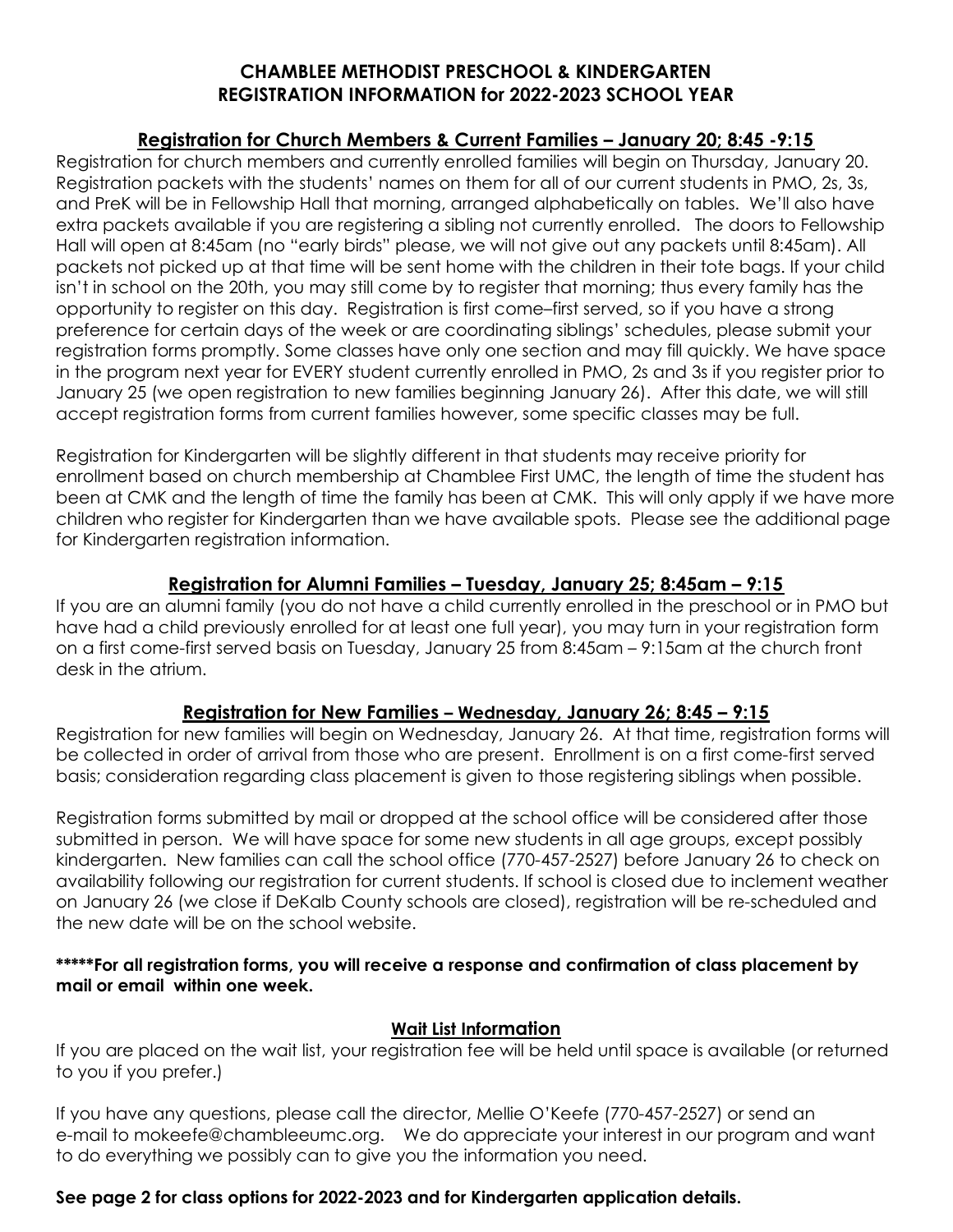## CHAMBLEE METHODIST PRESCHOOL & KINDERGARTEN REGISTRATION INFORMATION for 2022-2023 SCHOOL YEAR

#### Registration for Church Members & Current Families – January 20; 8:45 -9:15

Registration for church members and currently enrolled families will begin on Thursday, January 20. Registration packets with the students' names on them for all of our current students in PMO, 2s, 3s, and PreK will be in Fellowship Hall that morning, arranged alphabetically on tables. We'll also have extra packets available if you are registering a sibling not currently enrolled. The doors to Fellowship Hall will open at 8:45am (no "early birds" please, we will not give out any packets until 8:45am). All packets not picked up at that time will be sent home with the children in their tote bags. If your child isn't in school on the 20th, you may still come by to register that morning; thus every family has the opportunity to register on this day. Registration is first come–first served, so if you have a strong preference for certain days of the week or are coordinating siblings' schedules, please submit your registration forms promptly. Some classes have only one section and may fill quickly. We have space in the program next year for EVERY student currently enrolled in PMO, 2s and 3s if you register prior to January 25 (we open registration to new families beginning January 26). After this date, we will still accept registration forms from current families however, some specific classes may be full.

Registration for Kindergarten will be slightly different in that students may receive priority for enrollment based on church membership at Chamblee First UMC, the length of time the student has been at CMK and the length of time the family has been at CMK. This will only apply if we have more children who register for Kindergarten than we have available spots. Please see the additional page for Kindergarten registration information.

## Registration for Alumni Families – Tuesday, January 25; 8:45am – 9:15

If you are an alumni family (you do not have a child currently enrolled in the preschool or in PMO but have had a child previously enrolled for at least one full year), you may turn in your registration form on a first come-first served basis on Tuesday, January 25 from 8:45am – 9:15am at the church front desk in the atrium.

## Registration for New Families – Wednesday, January 26; 8:45 – 9:15

Registration for new families will begin on Wednesday, January 26. At that time, registration forms will be collected in order of arrival from those who are present. Enrollment is on a first come-first served basis; consideration regarding class placement is given to those registering siblings when possible.

Registration forms submitted by mail or dropped at the school office will be considered after those submitted in person. We will have space for some new students in all age groups, except possibly kindergarten. New families can call the school office (770-457-2527) before January 26 to check on availability following our registration for current students. If school is closed due to inclement weather on January 26 (we close if DeKalb County schools are closed), registration will be re-scheduled and the new date will be on the school website.

#### \*\*\*\*\*For all registration forms, you will receive a response and confirmation of class placement by mail or email within one week.

#### Wait List Information

If you are placed on the wait list, your registration fee will be held until space is available (or returned to you if you prefer.)

If you have any questions, please call the director, Mellie O'Keefe (770-457-2527) or send an e-mail to mokeefe@chambleeumc.org. We do appreciate your interest in our program and want to do everything we possibly can to give you the information you need.

## See page 2 for class options for 2022-2023 and for Kindergarten application details.